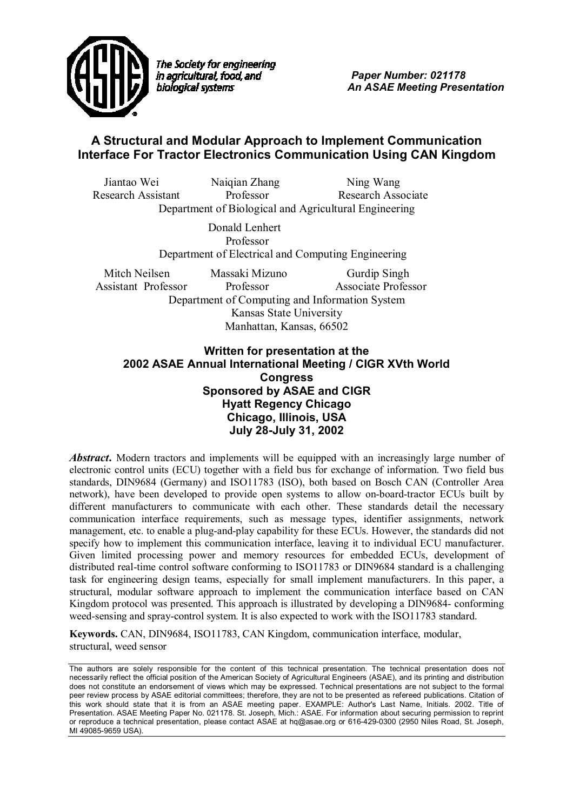

The Society for engineering in agricultural, food, and biological systems

 *Paper Number: 021178 An ASAE Meeting Presentation* 

# **A Structural and Modular Approach to Implement Communication Interface For Tractor Electronics Communication Using CAN Kingdom**

Jiantao Wei Naiqian Zhang Ning Wang Research Assistant Professor Research Associate Department of Biological and Agricultural Engineering

> Donald Lenhert Professor Department of Electrical and Computing Engineering

Mitch Neilsen Massaki Mizuno Gurdip Singh Assistant Professor Professor Associate Professor Department of Computing and Information System Kansas State University Manhattan, Kansas, 66502

# **Written for presentation at the 2002 ASAE Annual International Meeting / CIGR XVth World Congress Sponsored by ASAE and CIGR Hyatt Regency Chicago Chicago, Illinois, USA July 28-July 31, 2002**

Abstract. Modern tractors and implements will be equipped with an increasingly large number of electronic control units (ECU) together with a field bus for exchange of information. Two field bus standards, DIN9684 (Germany) and ISO11783 (ISO), both based on Bosch CAN (Controller Area network), have been developed to provide open systems to allow on-board-tractor ECUs built by different manufacturers to communicate with each other. These standards detail the necessary communication interface requirements, such as message types, identifier assignments, network management, etc. to enable a plug-and-play capability for these ECUs. However, the standards did not specify how to implement this communication interface, leaving it to individual ECU manufacturer. Given limited processing power and memory resources for embedded ECUs, development of distributed real-time control software conforming to ISO11783 or DIN9684 standard is a challenging task for engineering design teams, especially for small implement manufacturers. In this paper, a structural, modular software approach to implement the communication interface based on CAN Kingdom protocol was presented. This approach is illustrated by developing a DIN9684- conforming weed-sensing and spray-control system. It is also expected to work with the ISO11783 standard.

**Keywords.** CAN, DIN9684, ISO11783, CAN Kingdom, communication interface, modular, structural, weed sensor

The authors are solely responsible for the content of this technical presentation. The technical presentation does not necessarily reflect the official position of the American Society of Agricultural Engineers (ASAE), and its printing and distribution does not constitute an endorsement of views which may be expressed. Technical presentations are not subject to the formal peer review process by ASAE editorial committees; therefore, they are not to be presented as refereed publications. Citation of this work should state that it is from an ASAE meeting paper. EXAMPLE: Author's Last Name, Initials. 2002. Title of Presentation. ASAE Meeting Paper No. 021178. St. Joseph, Mich.: ASAE. For information about securing permission to reprint or reproduce a technical presentation, please contact ASAE at hq@asae.org or 616-429-0300 (2950 Niles Road, St. Joseph, MI 49085-9659 USA).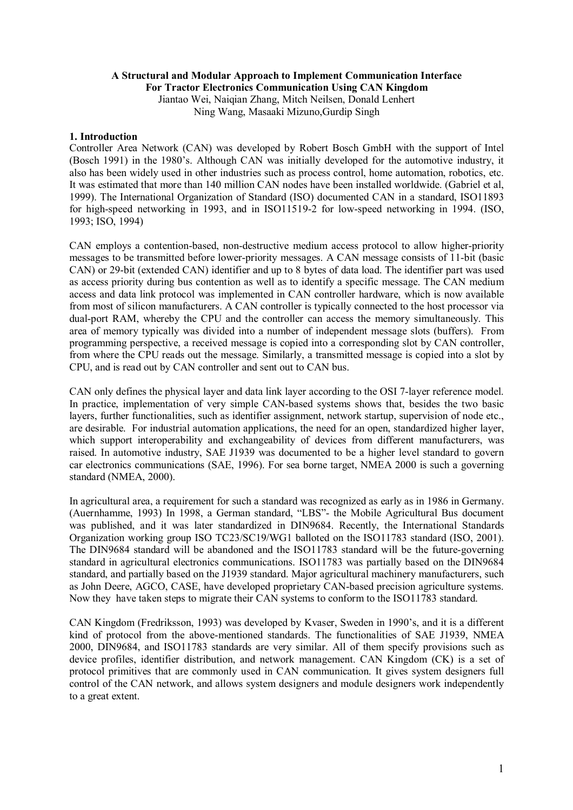#### **A Structural and Modular Approach to Implement Communication Interface For Tractor Electronics Communication Using CAN Kingdom**

Jiantao Wei, Naiqian Zhang, Mitch Neilsen, Donald Lenhert Ning Wang, Masaaki Mizuno,Gurdip Singh

#### **1. Introduction**

Controller Area Network (CAN) was developed by Robert Bosch GmbH with the support of Intel (Bosch 1991) in the 1980's. Although CAN was initially developed for the automotive industry, it also has been widely used in other industries such as process control, home automation, robotics, etc. It was estimated that more than 140 million CAN nodes have been installed worldwide. (Gabriel et al, 1999). The International Organization of Standard (ISO) documented CAN in a standard, ISO11893 for high-speed networking in 1993, and in ISO11519-2 for low-speed networking in 1994. (ISO, 1993; ISO, 1994)

CAN employs a contention-based, non-destructive medium access protocol to allow higher-priority messages to be transmitted before lower-priority messages. A CAN message consists of 11-bit (basic CAN) or 29-bit (extended CAN) identifier and up to 8 bytes of data load. The identifier part was used as access priority during bus contention as well as to identify a specific message. The CAN medium access and data link protocol was implemented in CAN controller hardware, which is now available from most of silicon manufacturers. A CAN controller is typically connected to the host processor via dual-port RAM, whereby the CPU and the controller can access the memory simultaneously. This area of memory typically was divided into a number of independent message slots (buffers). From programming perspective, a received message is copied into a corresponding slot by CAN controller, from where the CPU reads out the message. Similarly, a transmitted message is copied into a slot by CPU, and is read out by CAN controller and sent out to CAN bus.

CAN only defines the physical layer and data link layer according to the OSI 7-layer reference model. In practice, implementation of very simple CAN-based systems shows that, besides the two basic layers, further functionalities, such as identifier assignment, network startup, supervision of node etc., are desirable. For industrial automation applications, the need for an open, standardized higher layer, which support interoperability and exchangeability of devices from different manufacturers, was raised. In automotive industry, SAE J1939 was documented to be a higher level standard to govern car electronics communications (SAE, 1996). For sea borne target, NMEA 2000 is such a governing standard (NMEA, 2000).

In agricultural area, a requirement for such a standard was recognized as early as in 1986 in Germany. (Auernhamme, 1993) In 1998, a German standard, "LBS"- the Mobile Agricultural Bus document was published, and it was later standardized in DIN9684. Recently, the International Standards Organization working group ISO TC23/SC19/WG1 balloted on the ISO11783 standard (ISO, 2001). The DIN9684 standard will be abandoned and the ISO11783 standard will be the future-governing standard in agricultural electronics communications. ISO11783 was partially based on the DIN9684 standard, and partially based on the J1939 standard. Major agricultural machinery manufacturers, such as John Deere, AGCO, CASE, have developed proprietary CAN-based precision agriculture systems. Now they have taken steps to migrate their CAN systems to conform to the ISO11783 standard.

CAN Kingdom (Fredriksson, 1993) was developed by Kvaser, Sweden in 1990's, and it is a different kind of protocol from the above-mentioned standards. The functionalities of SAE J1939, NMEA 2000, DIN9684, and ISO11783 standards are very similar. All of them specify provisions such as device profiles, identifier distribution, and network management. CAN Kingdom (CK) is a set of protocol primitives that are commonly used in CAN communication. It gives system designers full control of the CAN network, and allows system designers and module designers work independently to a great extent.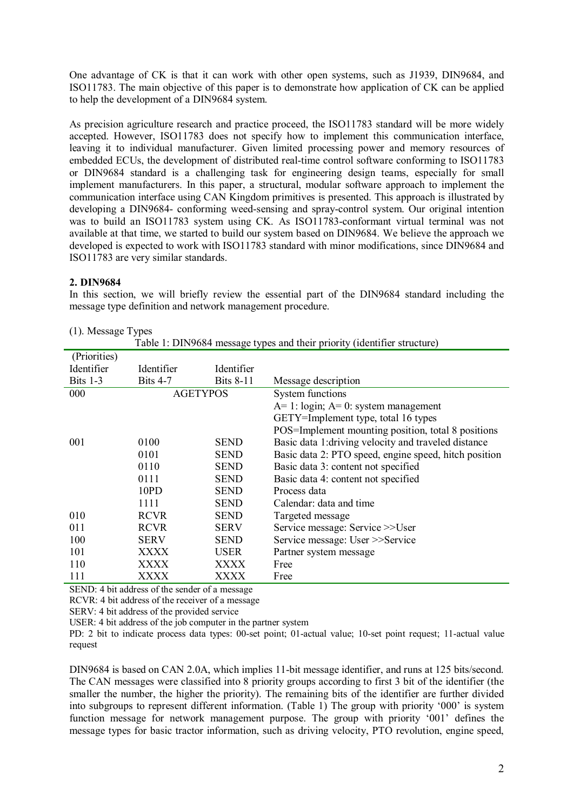One advantage of CK is that it can work with other open systems, such as J1939, DIN9684, and ISO11783. The main objective of this paper is to demonstrate how application of CK can be applied to help the development of a DIN9684 system.

As precision agriculture research and practice proceed, the ISO11783 standard will be more widely accepted. However, ISO11783 does not specify how to implement this communication interface, leaving it to individual manufacturer. Given limited processing power and memory resources of embedded ECUs, the development of distributed real-time control software conforming to ISO11783 or DIN9684 standard is a challenging task for engineering design teams, especially for small implement manufacturers. In this paper, a structural, modular software approach to implement the communication interface using CAN Kingdom primitives is presented. This approach is illustrated by developing a DIN9684- conforming weed-sensing and spray-control system. Our original intention was to build an ISO11783 system using CK. As ISO11783-conformant virtual terminal was not available at that time, we started to build our system based on DIN9684. We believe the approach we developed is expected to work with ISO11783 standard with minor modifications, since DIN9684 and ISO11783 are very similar standards.

#### **2. DIN9684**

In this section, we will briefly review the essential part of the DIN9684 standard including the message type definition and network management procedure.

| $(1)$ . IVICSSAZC 1 ypcs                                                 |                 |                  |                                                       |  |  |  |
|--------------------------------------------------------------------------|-----------------|------------------|-------------------------------------------------------|--|--|--|
| Table 1: DIN9684 message types and their priority (identifier structure) |                 |                  |                                                       |  |  |  |
| (Priorities)                                                             |                 |                  |                                                       |  |  |  |
| Identifier                                                               | Identifier      | Identifier       |                                                       |  |  |  |
| Bits $1-3$                                                               | <b>Bits 4-7</b> | <b>Bits 8-11</b> | Message description                                   |  |  |  |
| 000                                                                      | <b>AGETYPOS</b> |                  | <b>System functions</b>                               |  |  |  |
|                                                                          |                 |                  | $A=1$ : login; $A=0$ : system management              |  |  |  |
|                                                                          |                 |                  | GETY=Implement type, total 16 types                   |  |  |  |
|                                                                          |                 |                  | POS=Implement mounting position, total 8 positions    |  |  |  |
| 001                                                                      | 0100            | <b>SEND</b>      | Basic data 1: driving velocity and traveled distance  |  |  |  |
|                                                                          | 0101            | <b>SEND</b>      | Basic data 2: PTO speed, engine speed, hitch position |  |  |  |
|                                                                          | 0110            | <b>SEND</b>      | Basic data 3: content not specified                   |  |  |  |
|                                                                          | 0111            | <b>SEND</b>      | Basic data 4: content not specified                   |  |  |  |
|                                                                          | 10PD            | <b>SEND</b>      | Process data                                          |  |  |  |
|                                                                          | 1111            | <b>SEND</b>      | Calendar: data and time                               |  |  |  |
| 010                                                                      | <b>RCVR</b>     | <b>SEND</b>      | Targeted message                                      |  |  |  |
| 011                                                                      | <b>RCVR</b>     | <b>SERV</b>      | Service message: Service >>User                       |  |  |  |
| 100                                                                      | <b>SERV</b>     | <b>SEND</b>      | Service message: User >>Service                       |  |  |  |
| 101                                                                      | XXXX            | <b>USER</b>      | Partner system message                                |  |  |  |
| 110                                                                      | XXXX            | XXXX             | Free                                                  |  |  |  |
| 111                                                                      | XXXX            | XXXX             | Free                                                  |  |  |  |

#### (1). Message Types

SEND: 4 bit address of the sender of a message

RCVR: 4 bit address of the receiver of a message

SERV: 4 bit address of the provided service

USER: 4 bit address of the job computer in the partner system

PD: 2 bit to indicate process data types: 00-set point; 01-actual value; 10-set point request; 11-actual value request

DIN9684 is based on CAN 2.0A, which implies 11-bit message identifier, and runs at 125 bits/second. The CAN messages were classified into 8 priority groups according to first 3 bit of the identifier (the smaller the number, the higher the priority). The remaining bits of the identifier are further divided into subgroups to represent different information. (Table 1) The group with priority '000' is system function message for network management purpose. The group with priority '001' defines the message types for basic tractor information, such as driving velocity, PTO revolution, engine speed,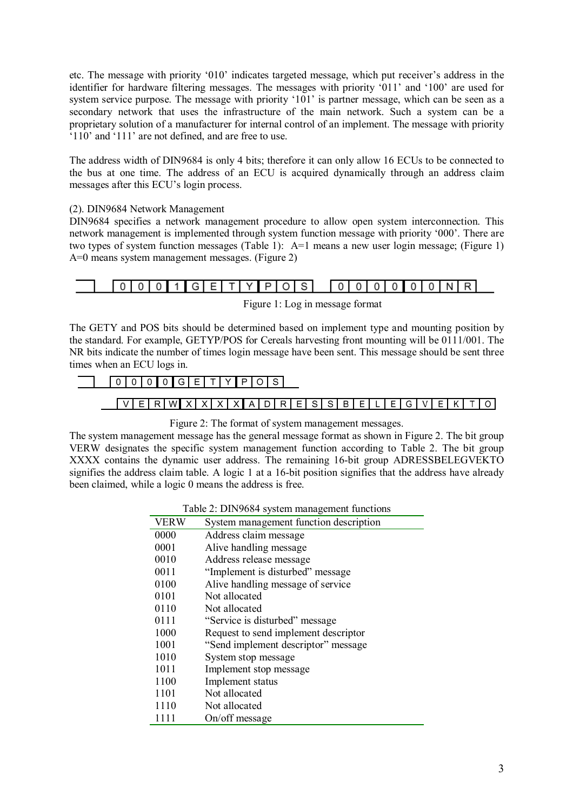etc. The message with priority '010' indicates targeted message, which put receiver's address in the identifier for hardware filtering messages. The messages with priority '011' and '100' are used for system service purpose. The message with priority '101' is partner message, which can be seen as a secondary network that uses the infrastructure of the main network. Such a system can be a proprietary solution of a manufacturer for internal control of an implement. The message with priority  $110'$  and  $111'$  are not defined, and are free to use.

The address width of DIN9684 is only 4 bits; therefore it can only allow 16 ECUs to be connected to the bus at one time. The address of an ECU is acquired dynamically through an address claim messages after this ECU's login process.

## (2). DIN9684 Network Management

DIN9684 specifies a network management procedure to allow open system interconnection. This network management is implemented through system function message with priority '000'. There are two types of system function messages (Table 1): A=1 means a new user login message; (Figure 1) A=0 means system management messages. (Figure 2)





The GETY and POS bits should be determined based on implement type and mounting position by the standard. For example, GETYP/POS for Cereals harvesting front mounting will be 0111/001. The NR bits indicate the number of times login message have been sent. This message should be sent three times when an ECU logs in.

# $0|0|0|0|0|G|E|T|Y|P|O|S|$

# $|V|E|R|W|X|X|X|X|A|D|R|E|S|S|B|E|L|E|G|V|E|K|T|O|$

#### Figure 2: The format of system management messages.

The system management message has the general message format as shown in Figure 2. The bit group VERW designates the specific system management function according to Table 2. The bit group XXXX contains the dynamic user address. The remaining 16-bit group ADRESSBELEGVEKTO signifies the address claim table. A logic 1 at a 16-bit position signifies that the address have already been claimed, while a logic 0 means the address is free.

| Table 2: DIN9684 system management functions |
|----------------------------------------------|
|----------------------------------------------|

| <b>VERW</b> | System management function description |
|-------------|----------------------------------------|
| 0000        | Address claim message                  |
| 0001        | Alive handling message                 |
| 0010        | Address release message                |
| 0011        | "Implement is disturbed" message       |
| 0100        | Alive handling message of service      |
| 0101        | Not allocated                          |
| 0110        | Not allocated                          |
| 0111        | "Service is disturbed" message         |
| 1000        | Request to send implement descriptor   |
| 1001        | "Send implement descriptor" message    |
| 1010        | System stop message                    |
| 1011        | Implement stop message                 |
| 1100        | Implement status                       |
| 1101        | Not allocated                          |
| 1110        | Not allocated                          |
| 1111        | On/off message                         |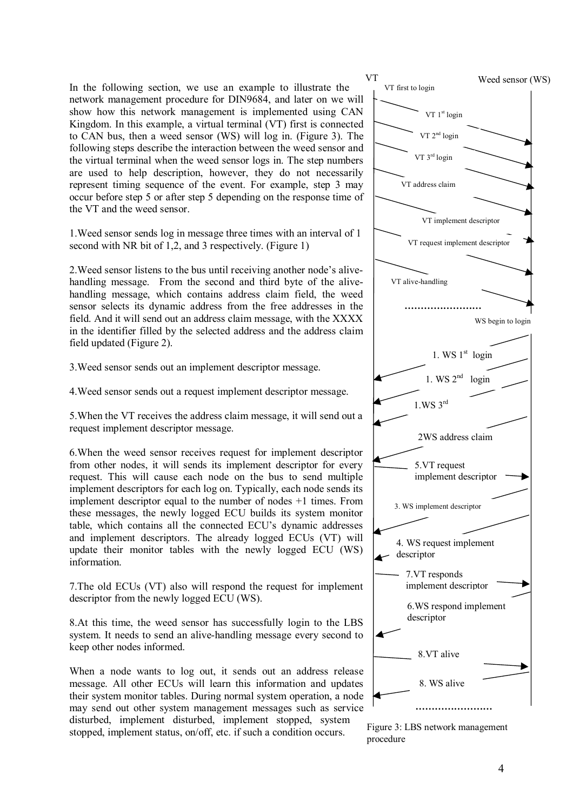In the following section, we use an example to illustrate the network management procedure for DIN9684, and later on we will show how this network management is implemented using CAN Kingdom. In this example, a virtual terminal (VT) first is connected to CAN bus, then a weed sensor (WS) will log in. (Figure 3). The following steps describe the interaction between the weed sensor and the virtual terminal when the weed sensor logs in. The step numbers are used to help description, however, they do not necessarily represent timing sequence of the event. For example, step 3 may occur before step 5 or after step 5 depending on the response time of the VT and the weed sensor.

1.Weed sensor sends log in message three times with an interval of 1 second with NR bit of 1,2, and 3 respectively. (Figure 1)

2. Weed sensor listens to the bus until receiving another node's alivehandling message. From the second and third byte of the alivehandling message, which contains address claim field, the weed sensor selects its dynamic address from the free addresses in the field. And it will send out an address claim message, with the XXXX in the identifier filled by the selected address and the address claim field updated (Figure 2).

3.Weed sensor sends out an implement descriptor message.

4.Weed sensor sends out a request implement descriptor message.

5.When the VT receives the address claim message, it will send out a request implement descriptor message.

6.When the weed sensor receives request for implement descriptor from other nodes, it will sends its implement descriptor for every request. This will cause each node on the bus to send multiple implement descriptors for each log on. Typically, each node sends its implement descriptor equal to the number of nodes +1 times. From these messages, the newly logged ECU builds its system monitor table, which contains all the connected ECU's dynamic addresses and implement descriptors. The already logged ECUs (VT) will update their monitor tables with the newly logged ECU (WS) information.

7.The old ECUs (VT) also will respond the request for implement descriptor from the newly logged ECU (WS).

8.At this time, the weed sensor has successfully login to the LBS system. It needs to send an alive-handling message every second to keep other nodes informed.

When a node wants to log out, it sends out an address release message. All other ECUs will learn this information and updates their system monitor tables. During normal system operation, a node may send out other system management messages such as service disturbed, implement disturbed, implement stopped, system stopped, implement status, on/off, etc. if such a condition occurs.



Figure 3: LBS network management procedure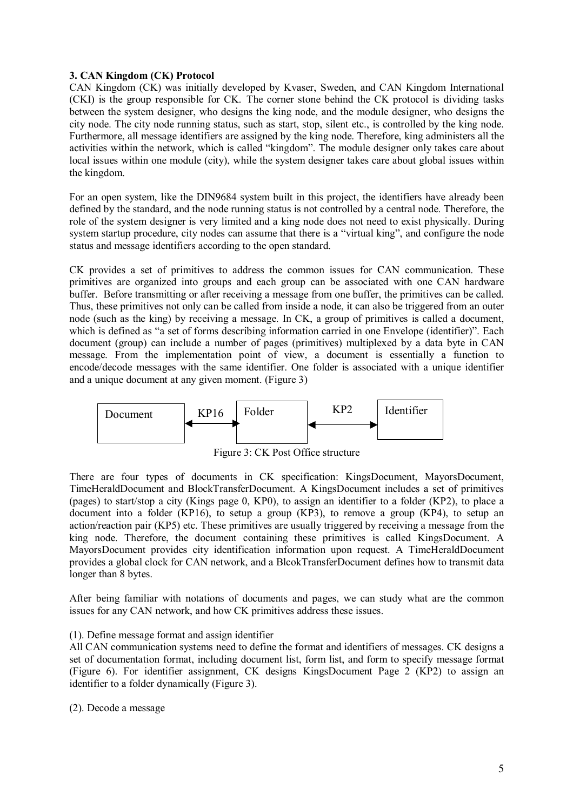## **3. CAN Kingdom (CK) Protocol**

CAN Kingdom (CK) was initially developed by Kvaser, Sweden, and CAN Kingdom International (CKI) is the group responsible for CK. The corner stone behind the CK protocol is dividing tasks between the system designer, who designs the king node, and the module designer, who designs the city node. The city node running status, such as start, stop, silent etc., is controlled by the king node. Furthermore, all message identifiers are assigned by the king node. Therefore, king administers all the activities within the network, which is called "kingdom". The module designer only takes care about local issues within one module (city), while the system designer takes care about global issues within the kingdom.

For an open system, like the DIN9684 system built in this project, the identifiers have already been defined by the standard, and the node running status is not controlled by a central node. Therefore, the role of the system designer is very limited and a king node does not need to exist physically. During system startup procedure, city nodes can assume that there is a "virtual king", and configure the node status and message identifiers according to the open standard.

CK provides a set of primitives to address the common issues for CAN communication. These primitives are organized into groups and each group can be associated with one CAN hardware buffer. Before transmitting or after receiving a message from one buffer, the primitives can be called. Thus, these primitives not only can be called from inside a node, it can also be triggered from an outer node (such as the king) by receiving a message. In CK, a group of primitives is called a document, which is defined as "a set of forms describing information carried in one Envelope (identifier)". Each document (group) can include a number of pages (primitives) multiplexed by a data byte in CAN message. From the implementation point of view, a document is essentially a function to encode/decode messages with the same identifier. One folder is associated with a unique identifier and a unique document at any given moment. (Figure 3)



Figure 3: CK Post Office structure

There are four types of documents in CK specification: KingsDocument, MayorsDocument, TimeHeraldDocument and BlockTransferDocument. A KingsDocument includes a set of primitives (pages) to start/stop a city (Kings page 0, KP0), to assign an identifier to a folder (KP2), to place a document into a folder (KP16), to setup a group (KP3), to remove a group (KP4), to setup an action/reaction pair (KP5) etc. These primitives are usually triggered by receiving a message from the king node. Therefore, the document containing these primitives is called KingsDocument. A MayorsDocument provides city identification information upon request. A TimeHeraldDocument provides a global clock for CAN network, and a BlcokTransferDocument defines how to transmit data longer than 8 bytes.

After being familiar with notations of documents and pages, we can study what are the common issues for any CAN network, and how CK primitives address these issues.

#### (1). Define message format and assign identifier

All CAN communication systems need to define the format and identifiers of messages. CK designs a set of documentation format, including document list, form list, and form to specify message format (Figure 6). For identifier assignment, CK designs KingsDocument Page 2 (KP2) to assign an identifier to a folder dynamically (Figure 3).

(2). Decode a message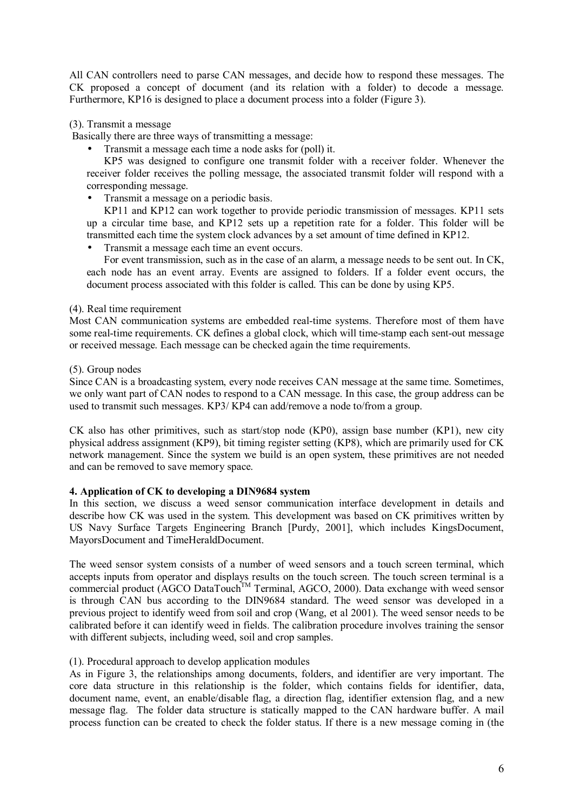All CAN controllers need to parse CAN messages, and decide how to respond these messages. The CK proposed a concept of document (and its relation with a folder) to decode a message. Furthermore, KP16 is designed to place a document process into a folder (Figure 3).

## (3). Transmit a message

Basically there are three ways of transmitting a message:

• Transmit a message each time a node asks for (poll) it.

KP5 was designed to configure one transmit folder with a receiver folder. Whenever the receiver folder receives the polling message, the associated transmit folder will respond with a corresponding message.

• Transmit a message on a periodic basis.

KP11 and KP12 can work together to provide periodic transmission of messages. KP11 sets up a circular time base, and KP12 sets up a repetition rate for a folder. This folder will be transmitted each time the system clock advances by a set amount of time defined in KP12.

• Transmit a message each time an event occurs.

For event transmission, such as in the case of an alarm, a message needs to be sent out. In CK, each node has an event array. Events are assigned to folders. If a folder event occurs, the document process associated with this folder is called. This can be done by using KP5.

#### (4). Real time requirement

Most CAN communication systems are embedded real-time systems. Therefore most of them have some real-time requirements. CK defines a global clock, which will time-stamp each sent-out message or received message. Each message can be checked again the time requirements.

## (5). Group nodes

Since CAN is a broadcasting system, every node receives CAN message at the same time. Sometimes, we only want part of CAN nodes to respond to a CAN message. In this case, the group address can be used to transmit such messages. KP3/ KP4 can add/remove a node to/from a group.

CK also has other primitives, such as start/stop node (KP0), assign base number (KP1), new city physical address assignment (KP9), bit timing register setting (KP8), which are primarily used for CK network management. Since the system we build is an open system, these primitives are not needed and can be removed to save memory space.

## **4. Application of CK to developing a DIN9684 system**

In this section, we discuss a weed sensor communication interface development in details and describe how CK was used in the system. This development was based on CK primitives written by US Navy Surface Targets Engineering Branch [Purdy, 2001], which includes KingsDocument, MayorsDocument and TimeHeraldDocument.

The weed sensor system consists of a number of weed sensors and a touch screen terminal, which accepts inputs from operator and displays results on the touch screen. The touch screen terminal is a commercial product  $(AGCO \text{ DataTouch}^{\text{TM}} \text{ Terminal}, AGCO, 2000)$ . Data exchange with weed sensor is through CAN bus according to the DIN9684 standard. The weed sensor was developed in a previous project to identify weed from soil and crop (Wang, et al 2001). The weed sensor needs to be calibrated before it can identify weed in fields. The calibration procedure involves training the sensor with different subjects, including weed, soil and crop samples.

## (1). Procedural approach to develop application modules

As in Figure 3, the relationships among documents, folders, and identifier are very important. The core data structure in this relationship is the folder, which contains fields for identifier, data, document name, event, an enable/disable flag, a direction flag, identifier extension flag, and a new message flag. The folder data structure is statically mapped to the CAN hardware buffer. A mail process function can be created to check the folder status. If there is a new message coming in (the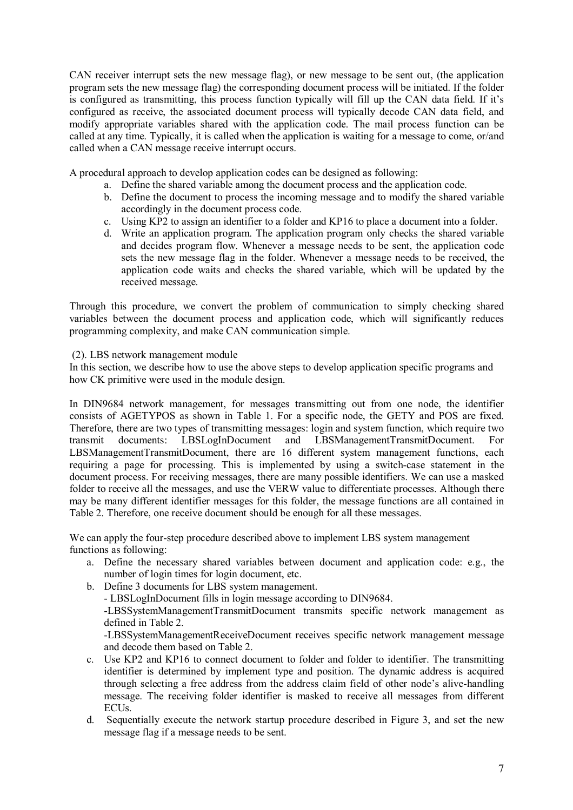CAN receiver interrupt sets the new message flag), or new message to be sent out, (the application program sets the new message flag) the corresponding document process will be initiated. If the folder is configured as transmitting, this process function typically will fill up the CAN data field. If it's configured as receive, the associated document process will typically decode CAN data field, and modify appropriate variables shared with the application code. The mail process function can be called at any time. Typically, it is called when the application is waiting for a message to come, or/and called when a CAN message receive interrupt occurs.

A procedural approach to develop application codes can be designed as following:

- a. Define the shared variable among the document process and the application code.
- b. Define the document to process the incoming message and to modify the shared variable accordingly in the document process code.
- c. Using KP2 to assign an identifier to a folder and KP16 to place a document into a folder.
- d. Write an application program. The application program only checks the shared variable and decides program flow. Whenever a message needs to be sent, the application code sets the new message flag in the folder. Whenever a message needs to be received, the application code waits and checks the shared variable, which will be updated by the received message.

Through this procedure, we convert the problem of communication to simply checking shared variables between the document process and application code, which will significantly reduces programming complexity, and make CAN communication simple.

#### (2). LBS network management module

In this section, we describe how to use the above steps to develop application specific programs and how CK primitive were used in the module design.

In DIN9684 network management, for messages transmitting out from one node, the identifier consists of AGETYPOS as shown in Table 1. For a specific node, the GETY and POS are fixed. Therefore, there are two types of transmitting messages: login and system function, which require two transmit documents: LBSLogInDocument and LBSManagementTransmitDocument. For LBSManagementTransmitDocument, there are 16 different system management functions, each requiring a page for processing. This is implemented by using a switch-case statement in the document process. For receiving messages, there are many possible identifiers. We can use a masked folder to receive all the messages, and use the VERW value to differentiate processes. Although there may be many different identifier messages for this folder, the message functions are all contained in Table 2. Therefore, one receive document should be enough for all these messages.

We can apply the four-step procedure described above to implement LBS system management functions as following:

- a. Define the necessary shared variables between document and application code: e.g., the number of login times for login document, etc.
- b. Define 3 documents for LBS system management. - LBSLogInDocument fills in login message according to DIN9684. -LBSSystemManagementTransmitDocument transmits specific network management as defined in Table 2. -LBSSystemManagementReceiveDocument receives specific network management message and decode them based on Table 2.
- c. Use KP2 and KP16 to connect document to folder and folder to identifier. The transmitting identifier is determined by implement type and position. The dynamic address is acquired through selecting a free address from the address claim field of other node's alive-handling message. The receiving folder identifier is masked to receive all messages from different ECUs.
- d. Sequentially execute the network startup procedure described in Figure 3, and set the new message flag if a message needs to be sent.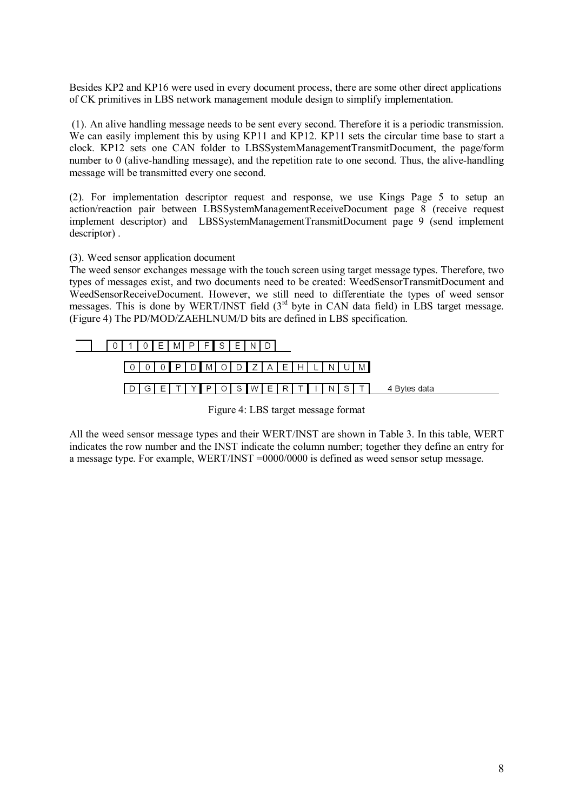Besides KP2 and KP16 were used in every document process, there are some other direct applications of CK primitives in LBS network management module design to simplify implementation.

 (1). An alive handling message needs to be sent every second. Therefore it is a periodic transmission. We can easily implement this by using KP11 and KP12. KP11 sets the circular time base to start a clock. KP12 sets one CAN folder to LBSSystemManagementTransmitDocument, the page/form number to 0 (alive-handling message), and the repetition rate to one second. Thus, the alive-handling message will be transmitted every one second.

(2). For implementation descriptor request and response, we use Kings Page 5 to setup an action/reaction pair between LBSSystemManagementReceiveDocument page 8 (receive request implement descriptor) and LBSSystemManagementTransmitDocument page 9 (send implement descriptor) .

## (3). Weed sensor application document

The weed sensor exchanges message with the touch screen using target message types. Therefore, two types of messages exist, and two documents need to be created: WeedSensorTransmitDocument and WeedSensorReceiveDocument. However, we still need to differentiate the types of weed sensor messages. This is done by WERT/INST field  $3<sup>rd</sup>$  byte in CAN data field) in LBS target message. (Figure 4) The PD/MOD/ZAEHLNUM/D bits are defined in LBS specification.





All the weed sensor message types and their WERT/INST are shown in Table 3. In this table, WERT indicates the row number and the INST indicate the column number; together they define an entry for a message type. For example, WERT/INST =0000/0000 is defined as weed sensor setup message.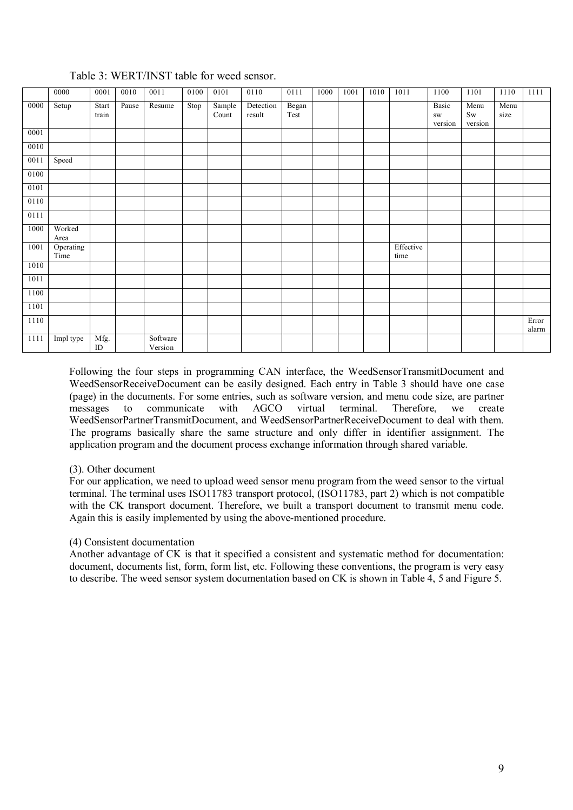|      | 0000              | 0001           | 0010  | 0011                | 0100 | 0101            | 0110                | 0111          | 1000 | 1001 | 1010 | 1011              | 1100                          | 1101                                   | 1110         | 1111           |
|------|-------------------|----------------|-------|---------------------|------|-----------------|---------------------|---------------|------|------|------|-------------------|-------------------------------|----------------------------------------|--------------|----------------|
| 0000 | Setup             | Start<br>train | Pause | Resume              | Stop | Sample<br>Count | Detection<br>result | Began<br>Test |      |      |      |                   | Basic<br><b>SW</b><br>version | Menu<br>$\operatorname{Sw}$<br>version | Menu<br>size |                |
| 0001 |                   |                |       |                     |      |                 |                     |               |      |      |      |                   |                               |                                        |              |                |
| 0010 |                   |                |       |                     |      |                 |                     |               |      |      |      |                   |                               |                                        |              |                |
| 0011 | Speed             |                |       |                     |      |                 |                     |               |      |      |      |                   |                               |                                        |              |                |
| 0100 |                   |                |       |                     |      |                 |                     |               |      |      |      |                   |                               |                                        |              |                |
| 0101 |                   |                |       |                     |      |                 |                     |               |      |      |      |                   |                               |                                        |              |                |
| 0110 |                   |                |       |                     |      |                 |                     |               |      |      |      |                   |                               |                                        |              |                |
| 0111 |                   |                |       |                     |      |                 |                     |               |      |      |      |                   |                               |                                        |              |                |
| 1000 | Worked<br>Area    |                |       |                     |      |                 |                     |               |      |      |      |                   |                               |                                        |              |                |
| 1001 | Operating<br>Time |                |       |                     |      |                 |                     |               |      |      |      | Effective<br>time |                               |                                        |              |                |
| 1010 |                   |                |       |                     |      |                 |                     |               |      |      |      |                   |                               |                                        |              |                |
| 1011 |                   |                |       |                     |      |                 |                     |               |      |      |      |                   |                               |                                        |              |                |
| 1100 |                   |                |       |                     |      |                 |                     |               |      |      |      |                   |                               |                                        |              |                |
| 1101 |                   |                |       |                     |      |                 |                     |               |      |      |      |                   |                               |                                        |              |                |
| 1110 |                   |                |       |                     |      |                 |                     |               |      |      |      |                   |                               |                                        |              | Error<br>alarm |
| 1111 | Impl type         | Mfg.<br>ID     |       | Software<br>Version |      |                 |                     |               |      |      |      |                   |                               |                                        |              |                |

# Table 3: WERT/INST table for weed sensor.

Following the four steps in programming CAN interface, the WeedSensorTransmitDocument and WeedSensorReceiveDocument can be easily designed. Each entry in Table 3 should have one case (page) in the documents. For some entries, such as software version, and menu code size, are partner messages to communicate with AGCO virtual terminal. Therefore, we create WeedSensorPartnerTransmitDocument, and WeedSensorPartnerReceiveDocument to deal with them. The programs basically share the same structure and only differ in identifier assignment. The application program and the document process exchange information through shared variable.

## (3). Other document

For our application, we need to upload weed sensor menu program from the weed sensor to the virtual terminal. The terminal uses ISO11783 transport protocol, (ISO11783, part 2) which is not compatible with the CK transport document. Therefore, we built a transport document to transmit menu code. Again this is easily implemented by using the above-mentioned procedure.

#### (4) Consistent documentation

Another advantage of CK is that it specified a consistent and systematic method for documentation: document, documents list, form, form list, etc. Following these conventions, the program is very easy to describe. The weed sensor system documentation based on CK is shown in Table 4, 5 and Figure 5.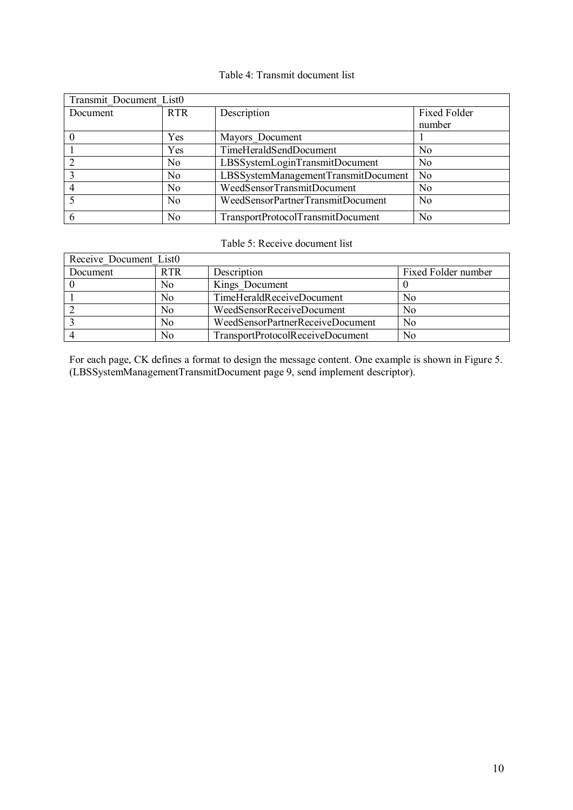## Table 4: Transmit document list

| Transmit Document List0 |                |                                     |                     |
|-------------------------|----------------|-------------------------------------|---------------------|
| Document                | <b>RTR</b>     | Description                         | <b>Fixed Folder</b> |
|                         |                |                                     | number              |
|                         | Yes            | Mayors Document                     |                     |
|                         | Yes            | TimeHeraldSendDocument              | N <sub>0</sub>      |
|                         | N <sub>0</sub> | LBSSystemLoginTransmitDocument      | N <sub>0</sub>      |
|                         | N <sub>0</sub> | LBSSystemManagementTransmitDocument | N <sub>0</sub>      |
|                         | No             | WeedSensorTransmitDocument          | No                  |
|                         | No             | WeedSensorPartnerTransmitDocument   | N <sub>0</sub>      |
| -6                      | No             | TransportProtocolTransmitDocument   | No                  |

## Table 5: Receive document list

| Receive Document List0 |            |                                  |                     |
|------------------------|------------|----------------------------------|---------------------|
| Document               | <b>RTR</b> | Description                      | Fixed Folder number |
|                        | No         | Kings Document                   |                     |
|                        | No         | TimeHeraldReceiveDocument        | No                  |
|                        | No         | WeedSensorReceiveDocument        | N <sub>0</sub>      |
|                        | No         | WeedSensorPartnerReceiveDocument | N <sub>0</sub>      |
|                        | No         | TransportProtocolReceiveDocument | No                  |

For each page, CK defines a format to design the message content. One example is shown in Figure 5. (LBSSystemManagementTransmitDocument page 9, send implement descriptor).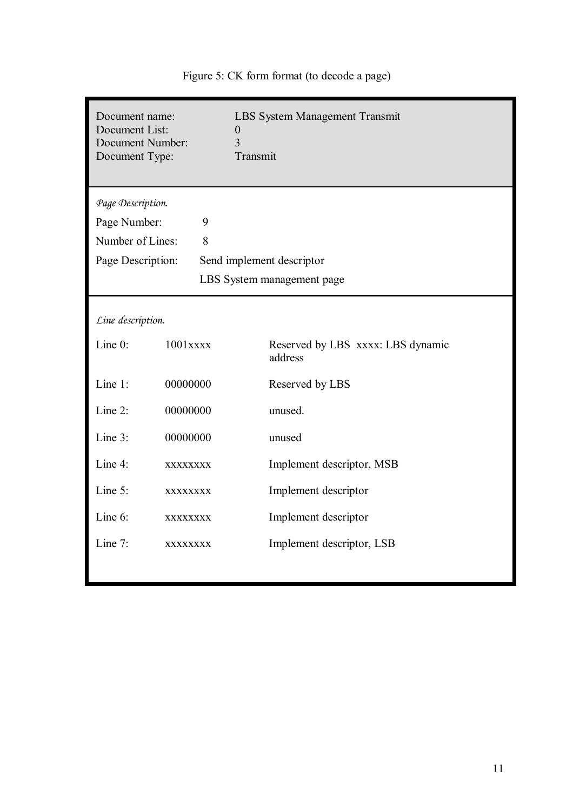| Document name:<br>Document List:<br>Document Number:<br>Document Type: |             | <b>LBS System Management Transmit</b><br>$\boldsymbol{0}$<br>$\overline{3}$<br>Transmit |
|------------------------------------------------------------------------|-------------|-----------------------------------------------------------------------------------------|
| Page Description.                                                      |             |                                                                                         |
| Page Number:                                                           | 9           |                                                                                         |
| Number of Lines:                                                       | 8           |                                                                                         |
| Page Description:                                                      |             | Send implement descriptor                                                               |
|                                                                        |             | LBS System management page                                                              |
|                                                                        |             |                                                                                         |
| Line description.                                                      |             |                                                                                         |
| Line $0$ :                                                             | $1001$ xxxx | Reserved by LBS xxxx: LBS dynamic<br>address                                            |
| Line 1:                                                                | 00000000    | Reserved by LBS                                                                         |
| Line $2$ :                                                             | 00000000    | unused.                                                                                 |
| Line 3:                                                                | 00000000    | unused                                                                                  |
| Line 4:                                                                | XXXXXXXX    | Implement descriptor, MSB                                                               |
| Line 5:                                                                | XXXXXXXX    | Implement descriptor                                                                    |
| Line $6$ :                                                             | XXXXXXXX    | Implement descriptor                                                                    |
| Line $7$ :                                                             | XXXXXXXX    | Implement descriptor, LSB                                                               |
|                                                                        |             |                                                                                         |

Figure 5: CK form format (to decode a page)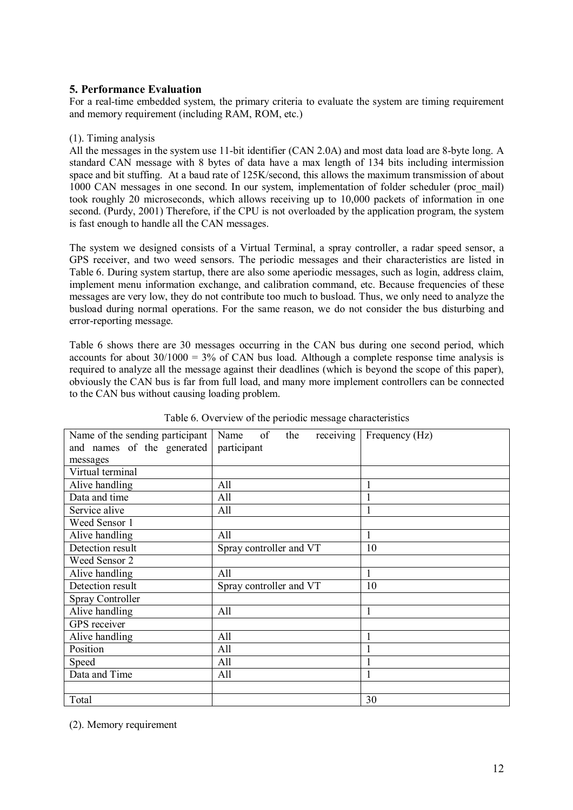## **5. Performance Evaluation**

For a real-time embedded system, the primary criteria to evaluate the system are timing requirement and memory requirement (including RAM, ROM, etc.)

## (1). Timing analysis

All the messages in the system use 11-bit identifier (CAN 2.0A) and most data load are 8-byte long. A standard CAN message with 8 bytes of data have a max length of 134 bits including intermission space and bit stuffing. At a baud rate of 125K/second, this allows the maximum transmission of about 1000 CAN messages in one second. In our system, implementation of folder scheduler (proc\_mail) took roughly 20 microseconds, which allows receiving up to 10,000 packets of information in one second. (Purdy, 2001) Therefore, if the CPU is not overloaded by the application program, the system is fast enough to handle all the CAN messages.

The system we designed consists of a Virtual Terminal, a spray controller, a radar speed sensor, a GPS receiver, and two weed sensors. The periodic messages and their characteristics are listed in Table 6. During system startup, there are also some aperiodic messages, such as login, address claim, implement menu information exchange, and calibration command, etc. Because frequencies of these messages are very low, they do not contribute too much to busload. Thus, we only need to analyze the busload during normal operations. For the same reason, we do not consider the bus disturbing and error-reporting message.

Table 6 shows there are 30 messages occurring in the CAN bus during one second period, which accounts for about  $30/1000 = 3\%$  of CAN bus load. Although a complete response time analysis is required to analyze all the message against their deadlines (which is beyond the scope of this paper), obviously the CAN bus is far from full load, and many more implement controllers can be connected to the CAN bus without causing loading problem.

| Name of the sending participant | receiving<br>of<br>the<br>Name | Frequency (Hz) |
|---------------------------------|--------------------------------|----------------|
| and names of the generated      | participant                    |                |
| messages                        |                                |                |
| Virtual terminal                |                                |                |
| Alive handling                  | All                            |                |
| Data and time                   | All                            |                |
| Service alive                   | All                            |                |
| Weed Sensor 1                   |                                |                |
| Alive handling                  | All                            | 1              |
| Detection result                | Spray controller and VT        | 10             |
| Weed Sensor 2                   |                                |                |
| Alive handling                  | All                            | 1              |
| Detection result                | Spray controller and VT        | 10             |
| Spray Controller                |                                |                |
| Alive handling                  | All                            | 1              |
| GPS receiver                    |                                |                |
| Alive handling                  | All                            |                |
| Position                        | All                            |                |
| Speed                           | All                            |                |
| Data and Time                   | All                            |                |
|                                 |                                |                |
| Total                           |                                | 30             |

## Table 6. Overview of the periodic message characteristics

(2). Memory requirement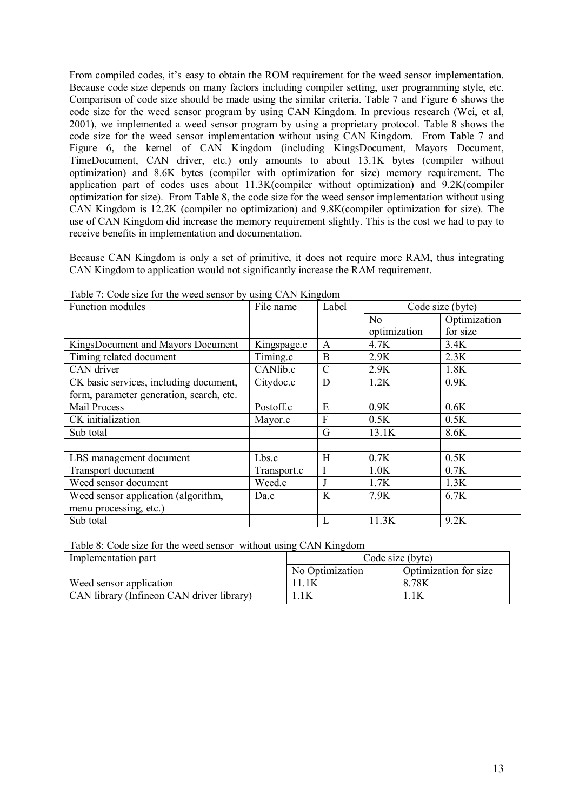From compiled codes, it's easy to obtain the ROM requirement for the weed sensor implementation. Because code size depends on many factors including compiler setting, user programming style, etc. Comparison of code size should be made using the similar criteria. Table 7 and Figure 6 shows the code size for the weed sensor program by using CAN Kingdom. In previous research (Wei, et al, 2001), we implemented a weed sensor program by using a proprietary protocol. Table 8 shows the code size for the weed sensor implementation without using CAN Kingdom. From Table 7 and Figure 6, the kernel of CAN Kingdom (including KingsDocument, Mayors Document, TimeDocument, CAN driver, etc.) only amounts to about 13.1K bytes (compiler without optimization) and 8.6K bytes (compiler with optimization for size) memory requirement. The application part of codes uses about 11.3K(compiler without optimization) and 9.2K(compiler optimization for size). From Table 8, the code size for the weed sensor implementation without using CAN Kingdom is 12.2K (compiler no optimization) and 9.8K(compiler optimization for size). The use of CAN Kingdom did increase the memory requirement slightly. This is the cost we had to pay to receive benefits in implementation and documentation.

Because CAN Kingdom is only a set of primitive, it does not require more RAM, thus integrating CAN Kingdom to application would not significantly increase the RAM requirement.

| Function modules                         | File name   | Label         | Code size (byte) |              |
|------------------------------------------|-------------|---------------|------------------|--------------|
|                                          |             |               | N <sub>o</sub>   | Optimization |
|                                          |             |               | optimization     | for size     |
| KingsDocument and Mayors Document        | Kingspage.c | $\mathsf{A}$  | 4.7K             | 3.4K         |
| Timing related document                  | Timing.c    | B             | 2.9K             | 2.3K         |
| CAN driver                               | CANlib.c    | $\mathcal{C}$ | 2.9K             | 1.8K         |
| CK basic services, including document,   | Citydoc.c   | D             | 1.2K             | 0.9K         |
| form, parameter generation, search, etc. |             |               |                  |              |
| Mail Process                             | Postoff.c   | E             | 0.9K             | 0.6K         |
| CK initialization                        | Mayor.c     | F             | 0.5K             | 0.5K         |
| Sub total                                |             | G             | 13.1K            | 8.6K         |
|                                          |             |               |                  |              |
| LBS management document                  | Lbs.c       | H             | 0.7K             | 0.5K         |
| Transport document                       | Transport.c | $\mathbf I$   | 1.0K             | 0.7K         |
| Weed sensor document                     | Weed.c      | J             | 1.7K             | 1.3K         |
| Weed sensor application (algorithm,      | Da.c        | K             | 7.9K             | 6.7K         |
| menu processing, etc.)                   |             |               |                  |              |
| Sub total                                |             | L             | 11.3K            | 9.2K         |

Table 7: Code size for the weed sensor by using CAN Kingdom

Table 8: Code size for the weed sensor without using CAN Kingdom

| Implementation part                       | Code size (byte) |                       |  |  |  |
|-------------------------------------------|------------------|-----------------------|--|--|--|
|                                           | No Optimization  | Optimization for size |  |  |  |
| Weed sensor application                   |                  | 8.78K                 |  |  |  |
| CAN library (Infineon CAN driver library) | 1K               |                       |  |  |  |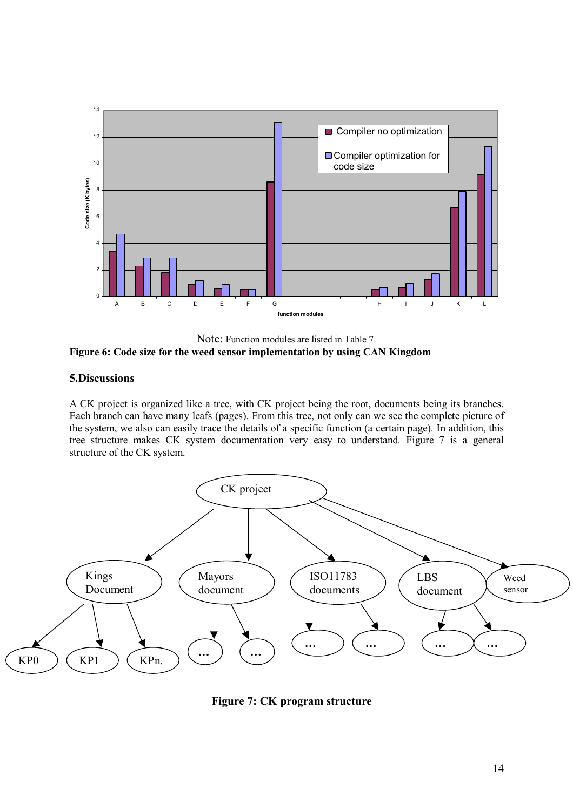

Note: Function modules are listed in Table 7. **Figure 6: Code size for the weed sensor implementation by using CAN Kingdom** 

## **5.Discussions**

A CK project is organized like a tree, with CK project being the root, documents being its branches. Each branch can have many leafs (pages). From this tree, not only can we see the complete picture of the system, we also can easily trace the details of a specific function (a certain page). In addition, this tree structure makes CK system documentation very easy to understand. Figure 7 is a general structure of the CK system.



**Figure 7: CK program structure**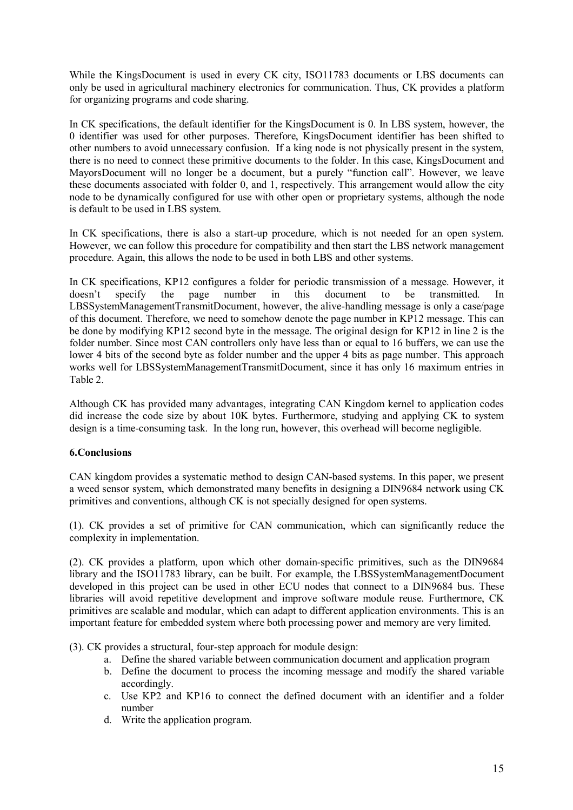While the KingsDocument is used in every CK city, ISO11783 documents or LBS documents can only be used in agricultural machinery electronics for communication. Thus, CK provides a platform for organizing programs and code sharing.

In CK specifications, the default identifier for the KingsDocument is 0. In LBS system, however, the 0 identifier was used for other purposes. Therefore, KingsDocument identifier has been shifted to other numbers to avoid unnecessary confusion. If a king node is not physically present in the system, there is no need to connect these primitive documents to the folder. In this case, KingsDocument and MayorsDocument will no longer be a document, but a purely "function call". However, we leave these documents associated with folder 0, and 1, respectively. This arrangement would allow the city node to be dynamically configured for use with other open or proprietary systems, although the node is default to be used in LBS system.

In CK specifications, there is also a start-up procedure, which is not needed for an open system. However, we can follow this procedure for compatibility and then start the LBS network management procedure. Again, this allows the node to be used in both LBS and other systems.

In CK specifications, KP12 configures a folder for periodic transmission of a message. However, it doesnít specify the page number in this document to be transmitted. In LBSSystemManagementTransmitDocument, however, the alive-handling message is only a case/page of this document. Therefore, we need to somehow denote the page number in KP12 message. This can be done by modifying KP12 second byte in the message. The original design for KP12 in line 2 is the folder number. Since most CAN controllers only have less than or equal to 16 buffers, we can use the lower 4 bits of the second byte as folder number and the upper 4 bits as page number. This approach works well for LBSSystemManagementTransmitDocument, since it has only 16 maximum entries in Table 2.

Although CK has provided many advantages, integrating CAN Kingdom kernel to application codes did increase the code size by about 10K bytes. Furthermore, studying and applying CK to system design is a time-consuming task. In the long run, however, this overhead will become negligible.

## **6.Conclusions**

CAN kingdom provides a systematic method to design CAN-based systems. In this paper, we present a weed sensor system, which demonstrated many benefits in designing a DIN9684 network using CK primitives and conventions, although CK is not specially designed for open systems.

(1). CK provides a set of primitive for CAN communication, which can significantly reduce the complexity in implementation.

(2). CK provides a platform, upon which other domain-specific primitives, such as the DIN9684 library and the ISO11783 library, can be built. For example, the LBSSystemManagementDocument developed in this project can be used in other ECU nodes that connect to a DIN9684 bus. These libraries will avoid repetitive development and improve software module reuse. Furthermore, CK primitives are scalable and modular, which can adapt to different application environments. This is an important feature for embedded system where both processing power and memory are very limited.

(3). CK provides a structural, four-step approach for module design:

- a. Define the shared variable between communication document and application program
- b. Define the document to process the incoming message and modify the shared variable accordingly.
- c. Use KP2 and KP16 to connect the defined document with an identifier and a folder number
- d. Write the application program.